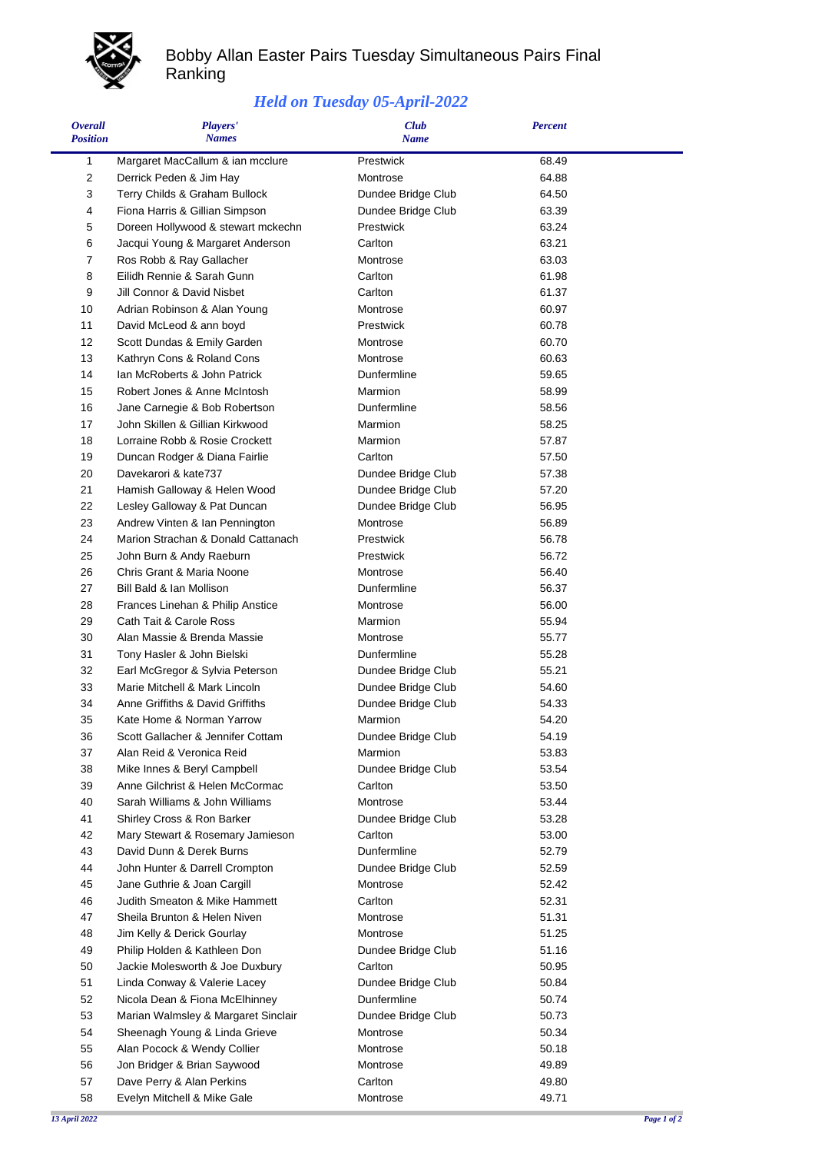

## Bobby Allan Easter Pairs Tuesday Simultaneous Pairs Final Ranking

## *Held on Tuesday 05-April-2022*

| <b>Overall</b><br><b>Position</b> | Players'<br><b>Names</b>            | <b>Club</b><br><b>Name</b> | <b>Percent</b> |  |
|-----------------------------------|-------------------------------------|----------------------------|----------------|--|
| 1                                 | Margaret MacCallum & ian mcclure    | Prestwick                  | 68.49          |  |
| 2                                 | Derrick Peden & Jim Hay             | Montrose                   | 64.88          |  |
| 3                                 | Terry Childs & Graham Bullock       | Dundee Bridge Club         | 64.50          |  |
| 4                                 | Fiona Harris & Gillian Simpson      | Dundee Bridge Club         | 63.39          |  |
| 5                                 | Doreen Hollywood & stewart mckechn  | Prestwick                  | 63.24          |  |
| 6                                 | Jacqui Young & Margaret Anderson    | Carlton                    | 63.21          |  |
| 7                                 | Ros Robb & Ray Gallacher            | Montrose                   | 63.03          |  |
| 8                                 | Eilidh Rennie & Sarah Gunn          | Carlton                    | 61.98          |  |
| 9                                 | Jill Connor & David Nisbet          | Carlton                    | 61.37          |  |
| 10                                | Adrian Robinson & Alan Young        | Montrose                   | 60.97          |  |
| 11                                | David McLeod & ann boyd             | Prestwick                  | 60.78          |  |
| 12                                | Scott Dundas & Emily Garden         | Montrose                   | 60.70          |  |
| 13                                | Kathryn Cons & Roland Cons          | Montrose                   | 60.63          |  |
| 14                                | Ian McRoberts & John Patrick        | Dunfermline                | 59.65          |  |
| 15                                | Robert Jones & Anne McIntosh        | Marmion                    | 58.99          |  |
| 16                                | Jane Carnegie & Bob Robertson       | Dunfermline                | 58.56          |  |
| 17                                | John Skillen & Gillian Kirkwood     | Marmion                    | 58.25          |  |
| 18                                | Lorraine Robb & Rosie Crockett      | Marmion                    | 57.87          |  |
| 19                                | Duncan Rodger & Diana Fairlie       | Carlton                    | 57.50          |  |
| 20                                | Davekarori & kate737                | Dundee Bridge Club         | 57.38          |  |
| 21                                | Hamish Galloway & Helen Wood        | Dundee Bridge Club         | 57.20          |  |
| 22                                | Lesley Galloway & Pat Duncan        | Dundee Bridge Club         | 56.95          |  |
| 23                                | Andrew Vinten & Ian Pennington      | Montrose                   | 56.89          |  |
| 24                                | Marion Strachan & Donald Cattanach  | Prestwick                  | 56.78          |  |
| 25                                | John Burn & Andy Raeburn            | Prestwick                  | 56.72          |  |
| 26                                | Chris Grant & Maria Noone           | Montrose                   | 56.40          |  |
| 27                                | Bill Bald & Ian Mollison            | Dunfermline                | 56.37          |  |
| 28                                | Frances Linehan & Philip Anstice    | Montrose                   | 56.00          |  |
| 29                                | Cath Tait & Carole Ross             | Marmion                    | 55.94          |  |
| 30                                | Alan Massie & Brenda Massie         | Montrose                   | 55.77          |  |
| 31                                | Tony Hasler & John Bielski          | Dunfermline                | 55.28          |  |
| 32                                | Earl McGregor & Sylvia Peterson     | Dundee Bridge Club         | 55.21          |  |
| 33                                | Marie Mitchell & Mark Lincoln       | Dundee Bridge Club         | 54.60          |  |
| 34                                | Anne Griffiths & David Griffiths    | Dundee Bridge Club         | 54.33          |  |
| 35                                | Kate Home & Norman Yarrow           | Marmion                    | 54.20          |  |
| 36                                | Scott Gallacher & Jennifer Cottam   | Dundee Bridge Club         | 54.19          |  |
| 37                                | Alan Reid & Veronica Reid           | Marmion                    | 53.83          |  |
| 38                                | Mike Innes & Beryl Campbell         | Dundee Bridge Club         | 53.54          |  |
| 39                                | Anne Gilchrist & Helen McCormac     | Carlton                    | 53.50          |  |
| 40                                | Sarah Williams & John Williams      | Montrose                   | 53.44          |  |
| 41                                | Shirley Cross & Ron Barker          | Dundee Bridge Club         | 53.28          |  |
| 42                                | Mary Stewart & Rosemary Jamieson    | Carlton                    | 53.00          |  |
| 43                                | David Dunn & Derek Burns            | Dunfermline                | 52.79          |  |
| 44                                | John Hunter & Darrell Crompton      | Dundee Bridge Club         | 52.59          |  |
| 45                                | Jane Guthrie & Joan Cargill         | Montrose                   | 52.42          |  |
| 46                                | Judith Smeaton & Mike Hammett       | Carlton                    | 52.31          |  |
| 47                                | Sheila Brunton & Helen Niven        | Montrose                   | 51.31          |  |
| 48                                | Jim Kelly & Derick Gourlay          | Montrose                   | 51.25          |  |
| 49                                | Philip Holden & Kathleen Don        | Dundee Bridge Club         | 51.16          |  |
| 50                                | Jackie Molesworth & Joe Duxbury     | Carlton                    | 50.95          |  |
| 51                                | Linda Conway & Valerie Lacey        | Dundee Bridge Club         | 50.84          |  |
| 52                                | Nicola Dean & Fiona McElhinney      | Dunfermline                | 50.74          |  |
| 53                                | Marian Walmsley & Margaret Sinclair | Dundee Bridge Club         | 50.73          |  |
| 54                                | Sheenagh Young & Linda Grieve       | Montrose                   | 50.34          |  |
| 55                                | Alan Pocock & Wendy Collier         | Montrose                   | 50.18          |  |
| 56                                | Jon Bridger & Brian Saywood         | Montrose                   | 49.89          |  |
| 57                                | Dave Perry & Alan Perkins           | Carlton                    | 49.80          |  |
| 58                                | Evelyn Mitchell & Mike Gale         | Montrose                   | 49.71          |  |